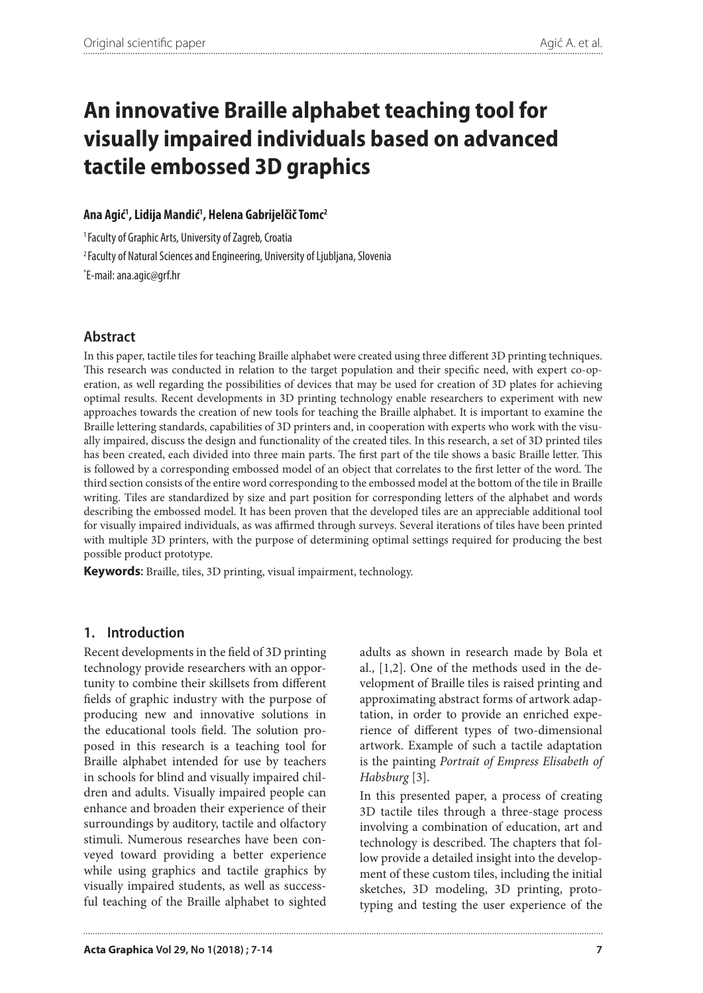#### **Ana Agić1 , Lidija Mandić1 , Helena Gabrijelčič Tomc2**

<sup>1</sup> Faculty of Graphic Arts, University of Zagreb, Croatia

2 Faculty of Natural Sciences and Engineering, University of Ljubljana, Slovenia

\* E-mail: ana.agic@grf.hr

## **Abstract**

In this paper, tactile tiles for teaching Braille alphabet were created using three different 3D printing techniques. This research was conducted in relation to the target population and their specific need, with expert co-operation, as well regarding the possibilities of devices that may be used for creation of 3D plates for achieving optimal results. Recent developments in 3D printing technology enable researchers to experiment with new approaches towards the creation of new tools for teaching the Braille alphabet. It is important to examine the Braille lettering standards, capabilities of 3D printers and, in cooperation with experts who work with the visually impaired, discuss the design and functionality of the created tiles. In this research, a set of 3D printed tiles has been created, each divided into three main parts. The first part of the tile shows a basic Braille letter. This is followed by a corresponding embossed model of an object that correlates to the first letter of the word. The third section consists of the entire word corresponding to the embossed model at the bottom of the tile in Braille writing. Tiles are standardized by size and part position for corresponding letters of the alphabet and words describing the embossed model. It has been proven that the developed tiles are an appreciable additional tool for visually impaired individuals, as was affirmed through surveys. Several iterations of tiles have been printed with multiple 3D printers, with the purpose of determining optimal settings required for producing the best possible product prototype.

**Keywords:** Braille, tiles, 3D printing, visual impairment, technology.

## **1. Introduction**

Recent developments in the field of 3D printing technology provide researchers with an opportunity to combine their skillsets from different fields of graphic industry with the purpose of producing new and innovative solutions in the educational tools field. The solution proposed in this research is a teaching tool for Braille alphabet intended for use by teachers in schools for blind and visually impaired children and adults. Visually impaired people can enhance and broaden their experience of their surroundings by auditory, tactile and olfactory stimuli. Numerous researches have been conveyed toward providing a better experience while using graphics and tactile graphics by visually impaired students, as well as successful teaching of the Braille alphabet to sighted

adults as shown in research made by Bola et al., [1,2]. One of the methods used in the development of Braille tiles is raised printing and approximating abstract forms of artwork adaptation, in order to provide an enriched experience of different types of two-dimensional artwork. Example of such a tactile adaptation is the painting *Portrait of Empress Elisabeth of Habsburg* [3].

In this presented paper, a process of creating 3D tactile tiles through a three-stage process involving a combination of education, art and technology is described. The chapters that follow provide a detailed insight into the development of these custom tiles, including the initial sketches, 3D modeling, 3D printing, prototyping and testing the user experience of the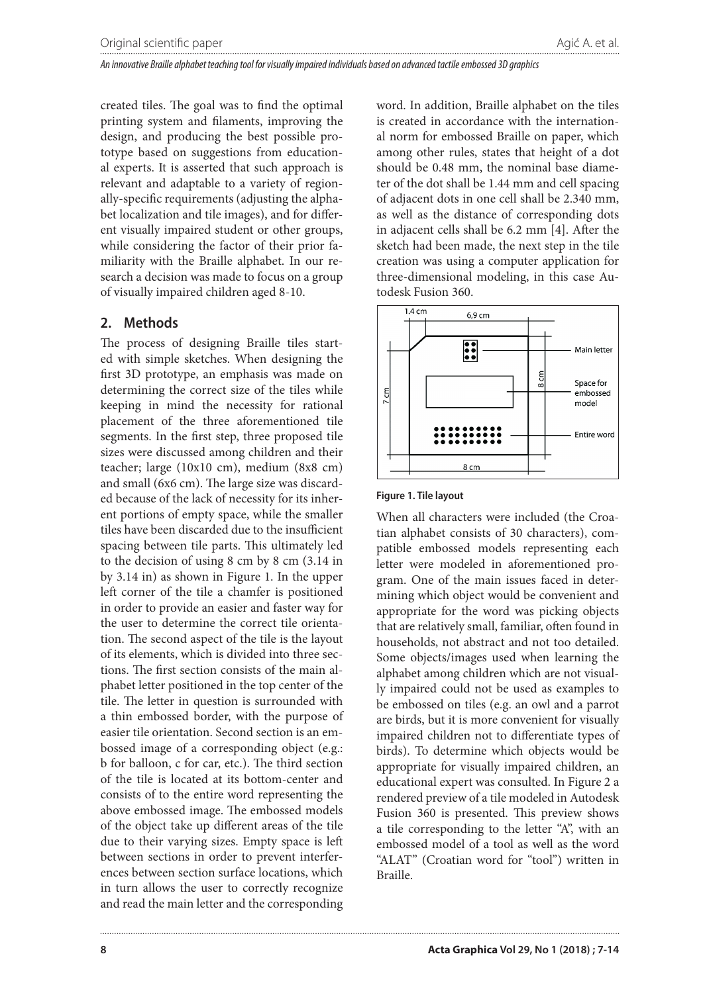created tiles. The goal was to find the optimal printing system and filaments, improving the design, and producing the best possible prototype based on suggestions from educational experts. It is asserted that such approach is relevant and adaptable to a variety of regionally-specific requirements (adjusting the alphabet localization and tile images), and for different visually impaired student or other groups, while considering the factor of their prior familiarity with the Braille alphabet. In our research a decision was made to focus on a group of visually impaired children aged 8-10.

## **2. Methods**

The process of designing Braille tiles started with simple sketches. When designing the first 3D prototype, an emphasis was made on determining the correct size of the tiles while keeping in mind the necessity for rational placement of the three aforementioned tile segments. In the first step, three proposed tile sizes were discussed among children and their teacher; large (10x10 cm), medium (8x8 cm) and small (6x6 cm). The large size was discarded because of the lack of necessity for its inherent portions of empty space, while the smaller tiles have been discarded due to the insufficient spacing between tile parts. This ultimately led to the decision of using 8 cm by 8 cm (3.14 in by 3.14 in) as shown in Figure 1. In the upper left corner of the tile a chamfer is positioned in order to provide an easier and faster way for the user to determine the correct tile orientation. The second aspect of the tile is the layout of its elements, which is divided into three sections. The first section consists of the main alphabet letter positioned in the top center of the tile. The letter in question is surrounded with a thin embossed border, with the purpose of easier tile orientation. Second section is an embossed image of a corresponding object (e.g.: b for balloon, c for car, etc.). The third section of the tile is located at its bottom-center and consists of to the entire word representing the above embossed image. The embossed models of the object take up different areas of the tile due to their varying sizes. Empty space is left between sections in order to prevent interferences between section surface locations, which in turn allows the user to correctly recognize and read the main letter and the corresponding

word. In addition, Braille alphabet on the tiles is created in accordance with the international norm for embossed Braille on paper, which among other rules, states that height of a dot should be 0.48 mm, the nominal base diameter of the dot shall be 1.44 mm and cell spacing of adjacent dots in one cell shall be 2.340 mm, as well as the distance of corresponding dots in adjacent cells shall be 6.2 mm [4]. After the sketch had been made, the next step in the tile creation was using a computer application for three-dimensional modeling, in this case Autodesk Fusion 360.



#### **Figure 1. Tile layout**

When all characters were included (the Croatian alphabet consists of 30 characters), compatible embossed models representing each letter were modeled in aforementioned program. One of the main issues faced in determining which object would be convenient and appropriate for the word was picking objects that are relatively small, familiar, often found in households, not abstract and not too detailed. Some objects/images used when learning the alphabet among children which are not visually impaired could not be used as examples to be embossed on tiles (e.g. an owl and a parrot are birds, but it is more convenient for visually impaired children not to differentiate types of birds). To determine which objects would be appropriate for visually impaired children, an educational expert was consulted. In Figure 2 a rendered preview of a tile modeled in Autodesk Fusion 360 is presented. This preview shows a tile corresponding to the letter "A", with an embossed model of a tool as well as the word "ALAT" (Croatian word for "tool") written in Braille.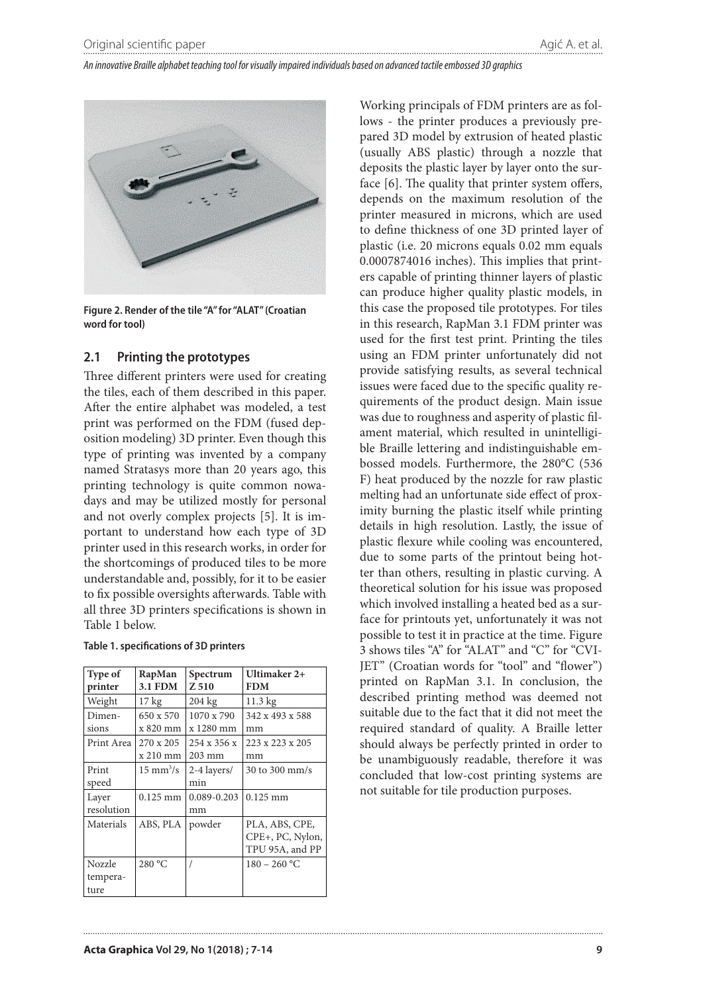

**Figure 2. Render of the tile "A" for "ALAT" (Croatian word for tool)**

#### **2.1 Printing the prototypes**

Three different printers were used for creating the tiles, each of them described in this paper. After the entire alphabet was modeled, a test print was performed on the FDM (fused deposition modeling) 3D printer. Even though this type of printing was invented by a company named Stratasys more than 20 years ago, this printing technology is quite common nowadays and may be utilized mostly for personal and not overly complex projects [5]. It is important to understand how each type of 3D printer used in this research works, in order for the shortcomings of produced tiles to be more understandable and, possibly, for it to be easier to fix possible oversights afterwards. Table with all three 3D printers specifications is shown in Table 1 below.

| Type of<br>printer         | RapMan<br><b>3.1 FDM</b>   | Spectrum<br>Z 510       | Ultimaker 2+<br><b>FDM</b>                            |
|----------------------------|----------------------------|-------------------------|-------------------------------------------------------|
| Weight                     | $17 \text{ kg}$            | $204 \text{ kg}$        | $11.3 \text{ kg}$                                     |
| Dimen-<br>sions            | 650 x 570<br>x 820 mm      | 1070 x 790<br>x 1280 mm | 342 x 493 x 588<br>mm                                 |
| Print Area                 | 270 x 205<br>x 210 mm      | 254 x 356 x<br>203 mm   | 223 x 223 x 205<br>mm                                 |
| Print<br>speed             | $15 \text{ mm}^3/\text{s}$ | 2-4 layers/<br>min      | 30 to 300 mm/s                                        |
| Layer<br>resolution        | $0.125$ mm                 | 0.089-0.203<br>mm       | $0.125$ mm                                            |
| <b>Materials</b>           | ABS, PLA                   | powder                  | PLA, ABS, CPE,<br>CPE+, PC, Nylon,<br>TPU 95A, and PP |
| Nozzle<br>tempera-<br>ture | 280 °C                     |                         | $180 - 260$ °C                                        |

#### **Table 1. specifications of 3D printers**

Working principals of FDM printers are as follows - the printer produces a previously prepared 3D model by extrusion of heated plastic (usually ABS plastic) through a nozzle that deposits the plastic layer by layer onto the surface [6]. The quality that printer system offers, depends on the maximum resolution of the printer measured in microns, which are used to define thickness of one 3D printed layer of plastic (i.e. 20 microns equals 0.02 mm equals 0.0007874016 inches). This implies that printers capable of printing thinner layers of plastic can produce higher quality plastic models, in this case the proposed tile prototypes. For tiles in this research, RapMan 3.1 FDM printer was used for the first test print. Printing the tiles using an FDM printer unfortunately did not provide satisfying results, as several technical issues were faced due to the specific quality requirements of the product design. Main issue was due to roughness and asperity of plastic filament material, which resulted in unintelligible Braille lettering and indistinguishable embossed models. Furthermore, the 280°C (536 F) heat produced by the nozzle for raw plastic melting had an unfortunate side effect of proximity burning the plastic itself while printing details in high resolution. Lastly, the issue of plastic flexure while cooling was encountered, due to some parts of the printout being hotter than others, resulting in plastic curving. A theoretical solution for his issue was proposed which involved installing a heated bed as a surface for printouts yet, unfortunately it was not possible to test it in practice at the time. Figure 3 shows tiles "A" for "ALAT" and "C" for "CVI-JET" (Croatian words for "tool" and "flower") printed on RapMan 3.1. In conclusion, the described printing method was deemed not suitable due to the fact that it did not meet the required standard of quality. A Braille letter should always be perfectly printed in order to be unambiguously readable, therefore it was concluded that low-cost printing systems are not suitable for tile production purposes.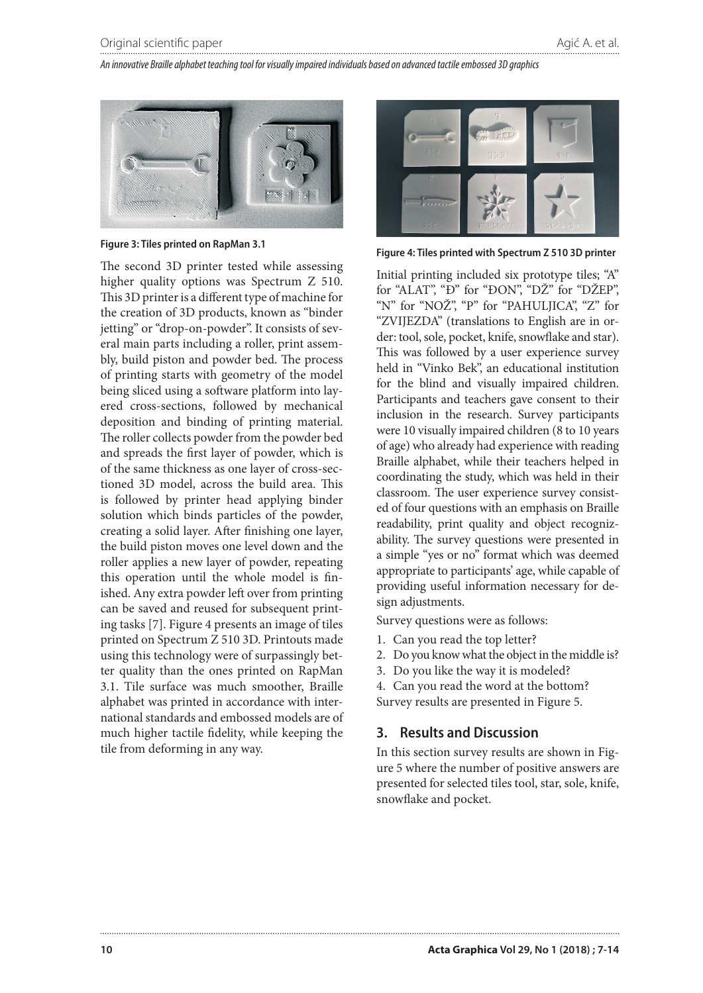

**Figure 3: Tiles printed on RapMan 3.1**

The second 3D printer tested while assessing higher quality options was Spectrum Z 510. This 3D printer is a different type of machine for the creation of 3D products, known as "binder jetting" or "drop-on-powder". It consists of several main parts including a roller, print assembly, build piston and powder bed. The process of printing starts with geometry of the model being sliced using a software platform into layered cross-sections, followed by mechanical deposition and binding of printing material. The roller collects powder from the powder bed and spreads the first layer of powder, which is of the same thickness as one layer of cross-sectioned 3D model, across the build area. This is followed by printer head applying binder solution which binds particles of the powder, creating a solid layer. After finishing one layer, the build piston moves one level down and the roller applies a new layer of powder, repeating this operation until the whole model is finished. Any extra powder left over from printing can be saved and reused for subsequent printing tasks [7]. Figure 4 presents an image of tiles printed on Spectrum Z 510 3D. Printouts made using this technology were of surpassingly better quality than the ones printed on RapMan 3.1. Tile surface was much smoother, Braille alphabet was printed in accordance with international standards and embossed models are of much higher tactile fidelity, while keeping the tile from deforming in any way.



**Figure 4: Tiles printed with Spectrum Z 510 3D printer**

Initial printing included six prototype tiles; "A" for "ALAT", "Đ" for "ĐON", "DŽ" for "DŽEP", "N" for "NOŽ", "P" for "PAHULJICA", "Z" for "ZVIJEZDA" (translations to English are in order: tool, sole, pocket, knife, snowflake and star). This was followed by a user experience survey held in "Vinko Bek", an educational institution for the blind and visually impaired children. Participants and teachers gave consent to their inclusion in the research. Survey participants were 10 visually impaired children (8 to 10 years of age) who already had experience with reading Braille alphabet, while their teachers helped in coordinating the study, which was held in their classroom. The user experience survey consisted of four questions with an emphasis on Braille readability, print quality and object recognizability. The survey questions were presented in a simple "yes or no" format which was deemed appropriate to participants' age, while capable of providing useful information necessary for design adjustments.

Survey questions were as follows:

- 1. Can you read the top letter?
- 2. Do you know what the object in the middle is?
- 3. Do you like the way it is modeled?
- 4. Can you read the word at the bottom? Survey results are presented in Figure 5.

## **3. Results and Discussion**

In this section survey results are shown in Figure 5 where the number of positive answers are presented for selected tiles tool, star, sole, knife, snowflake and pocket.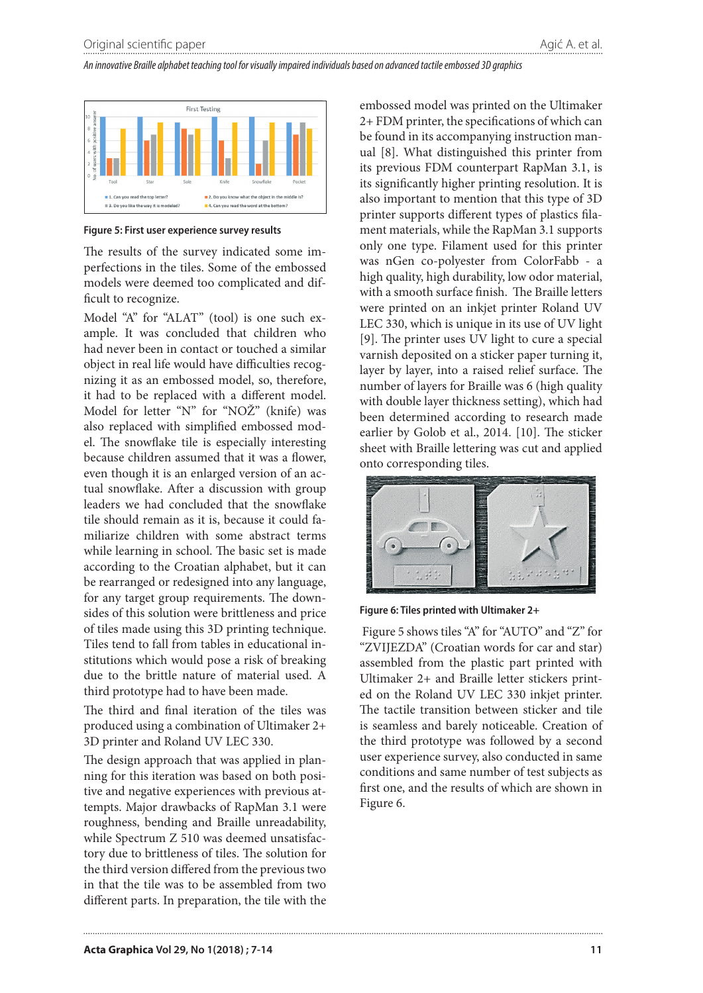

**Figure 5: First user experience survey results**

The results of the survey indicated some imperfections in the tiles. Some of the embossed models were deemed too complicated and difficult to recognize.

Model "A" for "ALAT" (tool) is one such example. It was concluded that children who had never been in contact or touched a similar object in real life would have difficulties recognizing it as an embossed model, so, therefore, it had to be replaced with a different model. Model for letter "N" for "NOŽ" (knife) was also replaced with simplified embossed model. The snowflake tile is especially interesting because children assumed that it was a flower, even though it is an enlarged version of an actual snowflake. After a discussion with group leaders we had concluded that the snowflake tile should remain as it is, because it could familiarize children with some abstract terms while learning in school. The basic set is made according to the Croatian alphabet, but it can be rearranged or redesigned into any language, for any target group requirements. The downsides of this solution were brittleness and price of tiles made using this 3D printing technique. Tiles tend to fall from tables in educational institutions which would pose a risk of breaking due to the brittle nature of material used. A third prototype had to have been made.

The third and final iteration of the tiles was produced using a combination of Ultimaker 2+ 3D printer and Roland UV LEC 330.

The design approach that was applied in planning for this iteration was based on both positive and negative experiences with previous attempts. Major drawbacks of RapMan 3.1 were roughness, bending and Braille unreadability, while Spectrum Z 510 was deemed unsatisfactory due to brittleness of tiles. The solution for the third version differed from the previous two in that the tile was to be assembled from two different parts. In preparation, the tile with the embossed model was printed on the Ultimaker 2+ FDM printer, the specifications of which can be found in its accompanying instruction manual [8]. What distinguished this printer from its previous FDM counterpart RapMan 3.1, is its significantly higher printing resolution. It is also important to mention that this type of 3D printer supports different types of plastics filament materials, while the RapMan 3.1 supports only one type. Filament used for this printer was nGen co-polyester from ColorFabb - a high quality, high durability, low odor material, with a smooth surface finish. The Braille letters were printed on an inkjet printer Roland UV LEC 330, which is unique in its use of UV light [9]. The printer uses UV light to cure a special varnish deposited on a sticker paper turning it, layer by layer, into a raised relief surface. The number of layers for Braille was 6 (high quality with double layer thickness setting), which had been determined according to research made earlier by Golob et al., 2014. [10]. The sticker sheet with Braille lettering was cut and applied onto corresponding tiles.



**Figure 6: Tiles printed with Ultimaker 2+**

 Figure 5 shows tiles "A" for "AUTO" and "Z" for "ZVIJEZDA" (Croatian words for car and star) assembled from the plastic part printed with Ultimaker 2+ and Braille letter stickers printed on the Roland UV LEC 330 inkjet printer. The tactile transition between sticker and tile is seamless and barely noticeable. Creation of the third prototype was followed by a second user experience survey, also conducted in same conditions and same number of test subjects as first one, and the results of which are shown in Figure 6.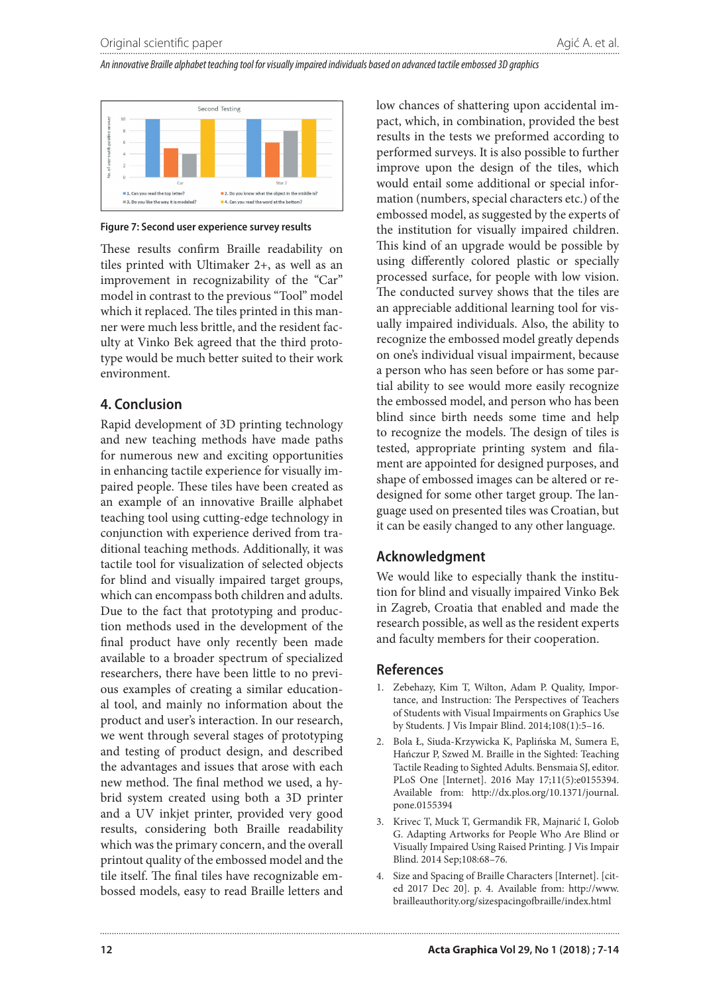

**Figure 7: Second user experience survey results** 

These results confirm Braille readability on tiles printed with Ultimaker 2+, as well as an improvement in recognizability of the "Car" model in contrast to the previous "Tool" model which it replaced. The tiles printed in this manner were much less brittle, and the resident faculty at Vinko Bek agreed that the third prototype would be much better suited to their work environment.

# **4. Conclusion**

Rapid development of 3D printing technology and new teaching methods have made paths for numerous new and exciting opportunities in enhancing tactile experience for visually impaired people. These tiles have been created as an example of an innovative Braille alphabet teaching tool using cutting-edge technology in conjunction with experience derived from traditional teaching methods. Additionally, it was tactile tool for visualization of selected objects for blind and visually impaired target groups, which can encompass both children and adults. Due to the fact that prototyping and production methods used in the development of the final product have only recently been made available to a broader spectrum of specialized researchers, there have been little to no previous examples of creating a similar educational tool, and mainly no information about the product and user's interaction. In our research, we went through several stages of prototyping and testing of product design, and described the advantages and issues that arose with each new method. The final method we used, a hybrid system created using both a 3D printer and a UV inkjet printer, provided very good results, considering both Braille readability which was the primary concern, and the overall printout quality of the embossed model and the tile itself. The final tiles have recognizable embossed models, easy to read Braille letters and

low chances of shattering upon accidental impact, which, in combination, provided the best results in the tests we preformed according to performed surveys. It is also possible to further improve upon the design of the tiles, which would entail some additional or special information (numbers, special characters etc.) of the embossed model, as suggested by the experts of the institution for visually impaired children. This kind of an upgrade would be possible by using differently colored plastic or specially processed surface, for people with low vision. The conducted survey shows that the tiles are an appreciable additional learning tool for visually impaired individuals. Also, the ability to recognize the embossed model greatly depends on one's individual visual impairment, because a person who has seen before or has some partial ability to see would more easily recognize the embossed model, and person who has been blind since birth needs some time and help to recognize the models. The design of tiles is tested, appropriate printing system and filament are appointed for designed purposes, and shape of embossed images can be altered or redesigned for some other target group. The language used on presented tiles was Croatian, but it can be easily changed to any other language.

# **Acknowledgment**

We would like to especially thank the institution for blind and visually impaired Vinko Bek in Zagreb, Croatia that enabled and made the research possible, as well as the resident experts and faculty members for their cooperation.

## **References**

- 1. Zebehazy, Kim T, Wilton, Adam P. Quality, Importance, and Instruction: The Perspectives of Teachers of Students with Visual Impairments on Graphics Use by Students. J Vis Impair Blind. 2014;108(1):5–16.
- 2. Bola Ł, Siuda-Krzywicka K, Paplińska M, Sumera E, Hańczur P, Szwed M. Braille in the Sighted: Teaching Tactile Reading to Sighted Adults. Bensmaia SJ, editor. PLoS One [Internet]. 2016 May 17;11(5):e0155394. Available from: http://dx.plos.org/10.1371/journal. pone.0155394
- 3. Krivec T, Muck T, Germandik FR, Majnarić I, Golob G. Adapting Artworks for People Who Are Blind or Visually Impaired Using Raised Printing. J Vis Impair Blind. 2014 Sep;108:68–76.
- 4. Size and Spacing of Braille Characters [Internet]. [cited 2017 Dec 20]. p. 4. Available from: http://www. brailleauthority.org/sizespacingofbraille/index.html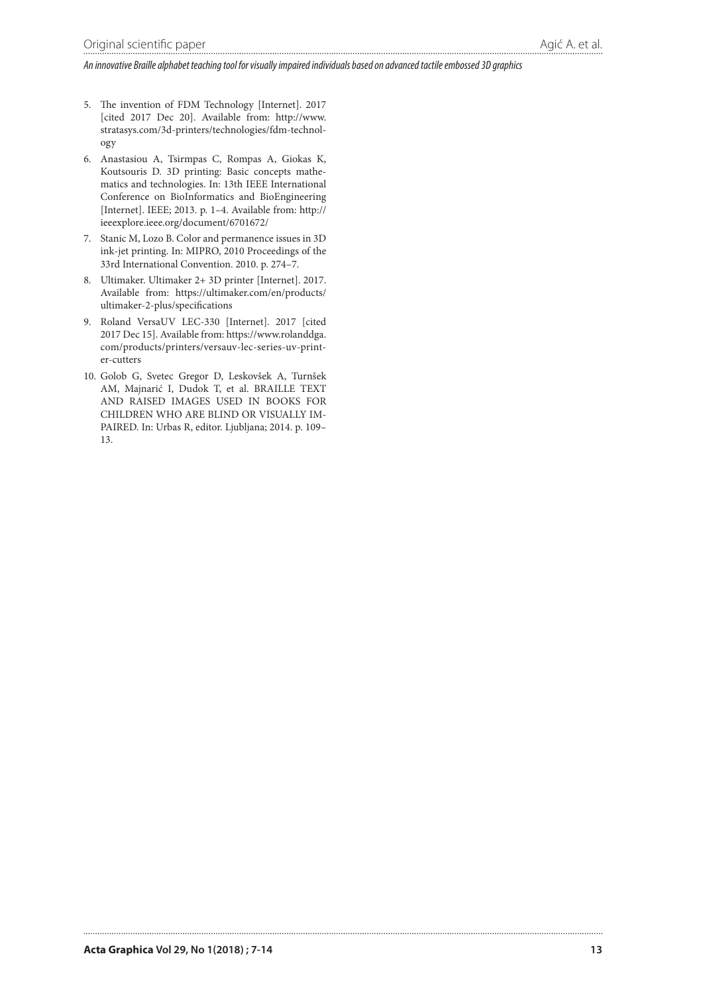- 5. The invention of FDM Technology [Internet]. 2017 [cited 2017 Dec 20]. Available from: http://www. stratasys.com/3d-printers/technologies/fdm-technology
- 6. Anastasiou A, Tsirmpas C, Rompas A, Giokas K, Koutsouris D. 3D printing: Basic concepts mathematics and technologies. In: 13th IEEE International Conference on BioInformatics and BioEngineering [Internet]. IEEE; 2013. p. 1–4. Available from: http:// ieeexplore.ieee.org/document/6701672/
- 7. Stanic M, Lozo B. Color and permanence issues in 3D ink-jet printing. In: MIPRO, 2010 Proceedings of the 33rd International Convention. 2010. p. 274–7.
- 8. Ultimaker. Ultimaker 2+ 3D printer [Internet]. 2017. Available from: https://ultimaker.com/en/products/ ultimaker-2-plus/specifications
- 9. Roland VersaUV LEC-330 [Internet]. 2017 [cited 2017 Dec 15]. Available from: https://www.rolanddga. com/products/printers/versauv-lec-series-uv-printer-cutters
- 10. Golob G, Svetec Gregor D, Leskovšek A, Turnšek AM, Majnarić I, Dudok T, et al. BRAILLE TEXT AND RAISED IMAGES USED IN BOOKS FOR CHILDREN WHO ARE BLIND OR VISUALLY IM-PAIRED. In: Urbas R, editor. Ljubljana; 2014. p. 109– 13.